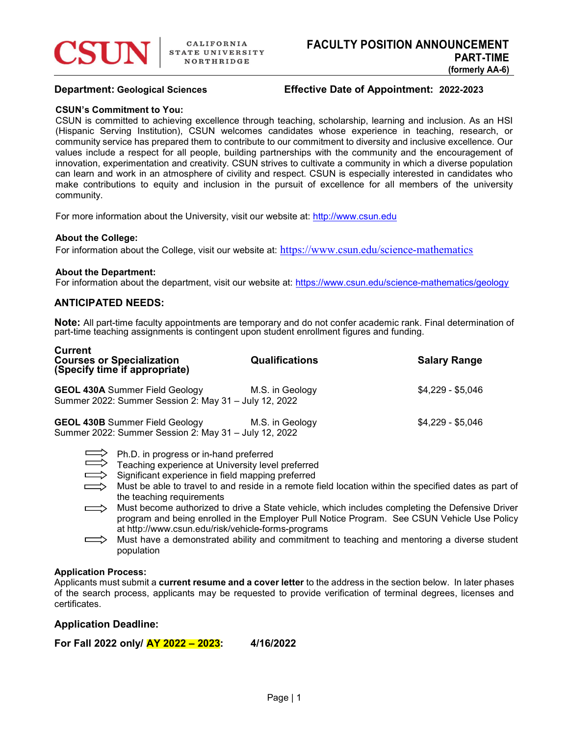

# Department: Geological Sciences Effective Date of Appointment: 2022-2023

### CSUN's Commitment to You:

CSUN is committed to achieving excellence through teaching, scholarship, learning and inclusion. As an HSI (Hispanic Serving Institution), CSUN welcomes candidates whose experience in teaching, research, or community service has prepared them to contribute to our commitment to diversity and inclusive excellence. Our values include a respect for all people, building partnerships with the community and the encouragement of innovation, experimentation and creativity. CSUN strives to cultivate a community in which a diverse population can learn and work in an atmosphere of civility and respect. CSUN is especially interested in candidates who make contributions to equity and inclusion in the pursuit of excellence for all members of the university community.

For more information about the University, visit our website at: http://www.csun.edu

## About the College:

For information about the College, visit our website at: https://www.csun.edu/science-mathematics

## About the Department:

For information about the department, visit our website at: https://www.csun.edu/science-mathematics/geology

# ANTICIPATED NEEDS:

Note: All part-time faculty appointments are temporary and do not confer academic rank. Final determination of part-time teaching assignments is contingent upon student enrollment figures and funding.

| <b>Current</b><br><b>Courses or Specialization</b><br>(Specify time if appropriate)            | <b>Qualifications</b> | <b>Salary Range</b> |
|------------------------------------------------------------------------------------------------|-----------------------|---------------------|
| <b>GEOL 430A Summer Field Geology</b><br>Summer 2022: Summer Session 2: May 31 - July 12, 2022 | M.S. in Geology       | $$4,229 - $5,046$   |
| <b>GEOL 430B Summer Field Geology</b><br>Summer 2022: Summer Session 2: May 31 - July 12, 2022 | M.S. in Geology       | $$4,229 - $5,046$   |

 $>$  Ph.D. in progress or in-hand preferred

- Significant experience in field mapping preferred
- $>$  Must be able to travel to and reside in a remote field location within the specified dates as part of the teaching requirements
- $\implies$  Must become authorized to drive a State vehicle, which includes completing the Defensive Driver program and being enrolled in the Employer Pull Notice Program. See CSUN Vehicle Use Policy at http://www.csun.edu/risk/vehicle-forms-programs
- Must have a demonstrated ability and commitment to teaching and mentoring a diverse student population

## Application Process:

Applicants must submit a current resume and a cover letter to the address in the section below. In later phases of the search process, applicants may be requested to provide verification of terminal degrees, licenses and certificates.

# Application Deadline:

For Fall 2022 only/ AY 2022 – 2023: 4/16/2022

Teaching experience at University level preferred